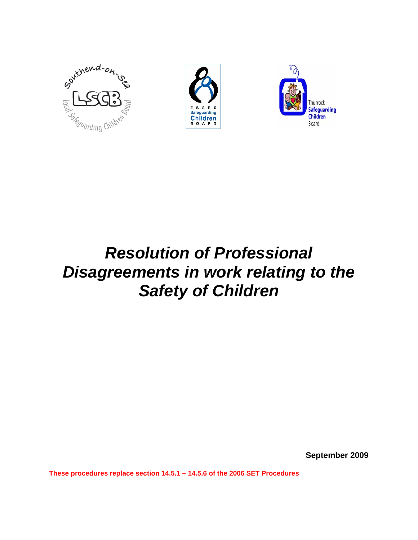





# *Resolution of Professional Disagreements in work relating to the Safety of Children*

**September 2009** 

**These procedures replace section 14.5.1 – 14.5.6 of the 2006 SET Procedures**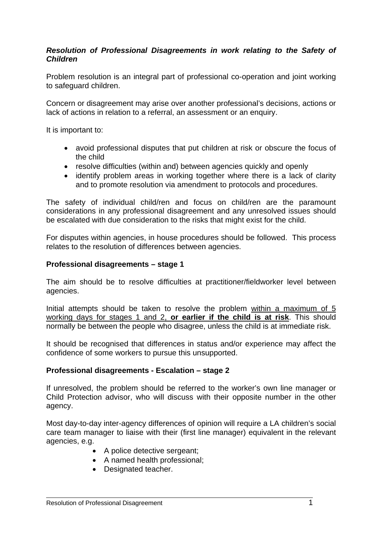### *Resolution of Professional Disagreements in work relating to the Safety of Children*

Problem resolution is an integral part of professional co-operation and joint working to safeguard children.

Concern or disagreement may arise over another professional's decisions, actions or lack of actions in relation to a referral, an assessment or an enquiry.

It is important to:

- avoid professional disputes that put children at risk or obscure the focus of the child
- resolve difficulties (within and) between agencies quickly and openly
- identify problem areas in working together where there is a lack of clarity and to promote resolution via amendment to protocols and procedures.

The safety of individual child/ren and focus on child/ren are the paramount considerations in any professional disagreement and any unresolved issues should be escalated with due consideration to the risks that might exist for the child.

For disputes within agencies, in house procedures should be followed. This process relates to the resolution of differences between agencies.

#### **Professional disagreements – stage 1**

The aim should be to resolve difficulties at practitioner/fieldworker level between agencies.

Initial attempts should be taken to resolve the problem within a maximum of 5 working days for stages 1 and 2, **or earlier if the child is at risk**. This should normally be between the people who disagree, unless the child is at immediate risk.

It should be recognised that differences in status and/or experience may affect the confidence of some workers to pursue this unsupported.

### **Professional disagreements - Escalation – stage 2**

If unresolved, the problem should be referred to the worker's own line manager or Child Protection advisor, who will discuss with their opposite number in the other agency.

Most day-to-day inter-agency differences of opinion will require a LA children's social care team manager to liaise with their (first line manager) equivalent in the relevant agencies, e.g.

- A police detective sergeant;
- A named health professional;
- Designated teacher.

 $\overline{a}$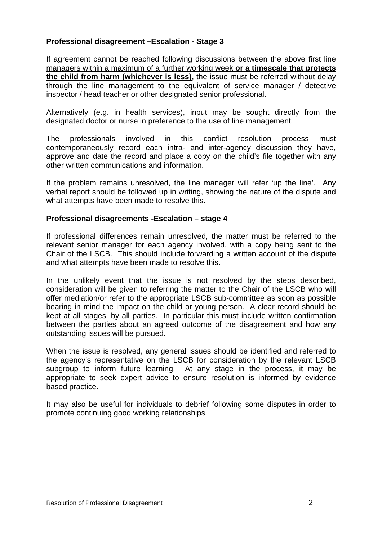## **Professional disagreement –Escalation - Stage 3**

If agreement cannot be reached following discussions between the above first line managers within a maximum of a further working week **or a timescale that protects the child from harm (whichever is less),** the issue must be referred without delay through the line management to the equivalent of service manager / detective inspector / head teacher or other designated senior professional.

Alternatively (e.g. in health services), input may be sought directly from the designated doctor or nurse in preference to the use of line management.

The professionals involved in this conflict resolution process must contemporaneously record each intra- and inter-agency discussion they have, approve and date the record and place a copy on the child's file together with any other written communications and information.

If the problem remains unresolved, the line manager will refer 'up the line'. Any verbal report should be followed up in writing, showing the nature of the dispute and what attempts have been made to resolve this.

#### **Professional disagreements -Escalation – stage 4**

If professional differences remain unresolved, the matter must be referred to the relevant senior manager for each agency involved, with a copy being sent to the Chair of the LSCB. This should include forwarding a written account of the dispute and what attempts have been made to resolve this.

In the unlikely event that the issue is not resolved by the steps described, consideration will be given to referring the matter to the Chair of the LSCB who will offer mediation/or refer to the appropriate LSCB sub-committee as soon as possible bearing in mind the impact on the child or young person. A clear record should be kept at all stages, by all parties. In particular this must include written confirmation between the parties about an agreed outcome of the disagreement and how any outstanding issues will be pursued.

When the issue is resolved, any general issues should be identified and referred to the agency's representative on the LSCB for consideration by the relevant LSCB subgroup to inform future learning. At any stage in the process, it may be appropriate to seek expert advice to ensure resolution is informed by evidence based practice.

It may also be useful for individuals to debrief following some disputes in order to promote continuing good working relationships.

 $\overline{a}$